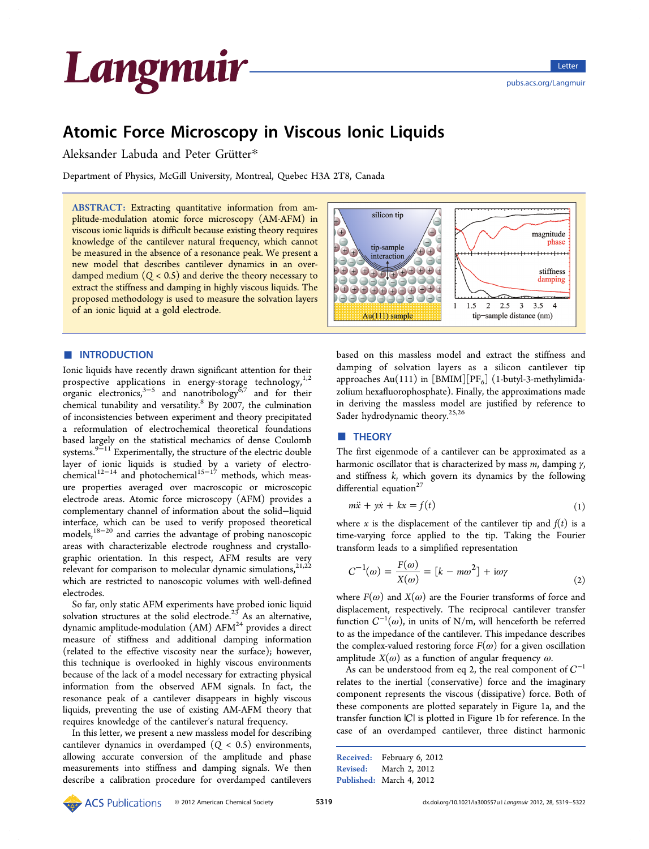<span id="page-0-0"></span>

## Atomic Force Microscopy in Viscous Ionic Liquids

Aleksander Labuda and Peter Grütter\*

Department of Physics, McGill University, Mo[ntr](#page-2-0)eal, Quebec H3A 2T8, Canada

ABSTRACT: Extracting quantitative information from amplitude-modulation atomic force microscopy (AM-AFM) in viscous ionic liquids is difficult because existing theory requires knowledge of the cantilever natural frequency, which cannot be measured in the absence of a resonance peak. We present a new model that describes cantilever dynamics in an overdamped medium  $(Q < 0.5)$  and derive the theory necessary to extract the stiffness and damping in highly viscous liquids. The proposed methodology is used to measure the solvation layers of an ionic liquid at a gold electrode.



Ionic liquids have recently drawn significant attention for their prospective applications in energy-storage technology, $1,2$ organic electronics,<sup>3-5</sup> and nanotribology<sup>8,7</sup> and for their chemical tunability and versatility.<sup>8</sup> By 2007, the culminati[on](#page-3-0) of inconsistencies b[etwe](#page-3-0)en experiment and [the](#page-3-0)ory precipitated a reformulation of electrochemi[ca](#page-3-0)l theoretical foundations based largely on the statistical mechanics of dense Coulomb systems.<sup>9 $\frac{9}{2}$ 11<sup>'</sup> Experimentally, the structure of the electric double</sup> layer of ionic liquids is studied by a variety of electrochemica[l](#page-3-0)<sup>12[−](#page-3-0)14</sup> and photochemical<sup>15−17</sup> methods, which measure properties averaged over macroscopic or microscopic electrod[e area](#page-3-0)s. Atomic force mi[crosc](#page-3-0)opy (AFM) provides a complementary channel of information about the solid−liquid interface, which can be used to verify proposed theoretical models,<sup>18−20</sup> and carries the advantage of probing nanoscopic areas with characterizable electrode roughness and crystallographic [orien](#page-3-0)tation. In this respect, AFM results are very relevant for comparison to molecular dynamic simulations, $2^{1,22}$ which are restricted to nanoscopic volumes with well-defined electrodes.

So far, only static AFM experiments have probed ionic liquid solvation structures at the solid electrode.<sup>25</sup> As an alternative, dynamic amplitude-modulation (AM)  $AFM<sup>24</sup>$  provides a direct measure of stiffness and additional d[am](#page-3-0)ping information (related to the effective viscosity near the [su](#page-3-0)rface); however, this technique is overlooked in highly viscous environments because of the lack of a model necessary for extracting physical information from the observed AFM signals. In fact, the resonance peak of a cantilever disappears in highly viscous liquids, preventing the use of existing AM-AFM theory that requires knowledge of the cantilever's natural frequency.

In this letter, we present a new massless model for describing cantilever dynamics in overdamped  $(Q < 0.5)$  environments, allowing accurate conversion of the amplitude and phase measurements into stiffness and damping signals. We then describe a calibration procedure for overdamped cantilevers



based on this massless model and extract the stiffness and damping of solvation layers as a silicon cantilever tip approaches Au(111) in [BMIM][PF<sub>6</sub>] (1-butyl-3-methylimidazolium hexafluorophosphate). Finally, the approximations made in deriving the massless model are justified by reference to Sader hydrodynamic theory.<sup>25,26</sup>

#### **THEORY**

The first eigenmode of a cantilever can be approximated as a harmonic oscillator that is characterized by mass  $m$ , damping  $\gamma$ , and stiffness  $k$ , which govern its dynamics by the following differential equation $27$ 

$$
m\ddot{x} + y\dot{x} + kx = f(t) \tag{1}
$$

where x is the displacement of the cantilever tip and  $f(t)$  is a time-varying force applied to the tip. Taking the Fourier transform leads to a simplified representation

$$
C^{-1}(\omega) = \frac{F(\omega)}{X(\omega)} = [k - m\omega^2] + i\omega\gamma
$$
\n(2)

where  $F(\omega)$  and  $X(\omega)$  are the Fourier transforms of force and displacement, respectively. The reciprocal cantilever transfer function  $C^{-1}(\omega)$ , in units of N/m, will henceforth be referred to as the impedance of the cantilever. This impedance describes the complex-valued restoring force  $F(\omega)$  for a given oscillation amplitude  $X(\omega)$  as a function of angular frequency  $\omega$ .

As can be understood from eq 2, the real component of  $C^{-1}$ relates to the inertial (conservative) force and the imaginary component represents the viscous (dissipative) force. Both of these components are plotted separately in Figure 1a, and the transfer function  $|C|$  is plotted in Figure 1b for reference. In the case of an overdamped cantilever, three distinc[t](#page-1-0) harmonic

| Received: February 6, 2012 |
|----------------------------|
| Revised: March 2, 2012     |
| Published: March 4, 2012   |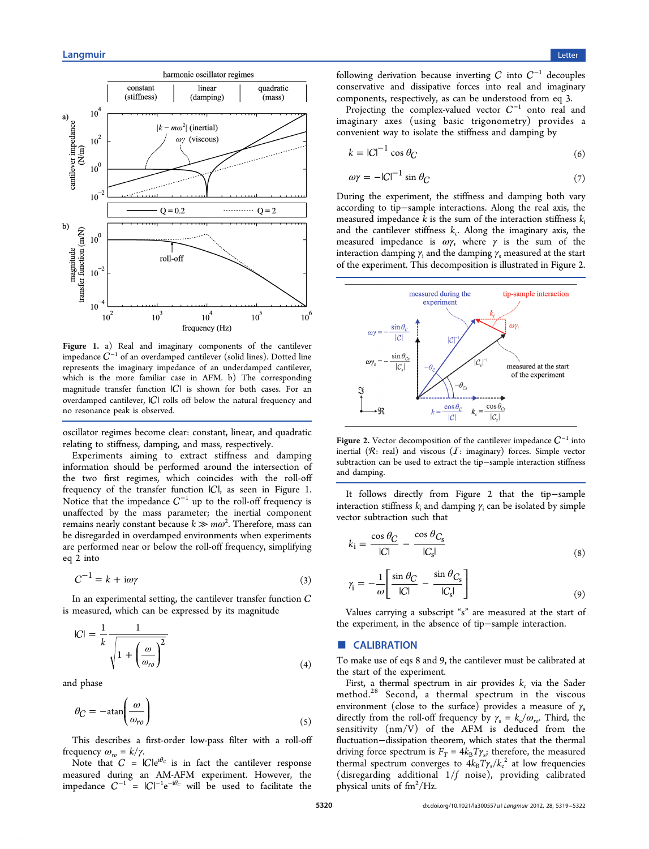<span id="page-1-0"></span>

Figure 1. a) Real and imaginary components of the cantilever impedance  $C^{-1}$  of an overdamped cantilever (solid lines). Dotted line represents the imaginary impedance of an underdamped cantilever, which is the more familiar case in AFM. b) The corresponding magnitude transfer function  $|C|$  is shown for both cases. For an overdamped cantilever,  $|C|$  rolls off below the natural frequency and no resonance peak is observed.

oscillator regimes become clear: constant, linear, and quadratic relating to stiffness, damping, and mass, respectively.

Experiments aiming to extract stiffness and damping information should be performed around the intersection of the two first regimes, which coincides with the roll-off frequency of the transfer function  $|C|$ , as seen in Figure 1. Notice that the impedance  $C^{-1}$  up to the roll-off frequency is unaffected by the mass parameter; the inertial component remains nearly constant because  $k \gg m \omega^2$ . Therefore, mass can be disregarded in overdamped environments when experiments are performed near or below the roll-off frequency, simplifying eq 2 into

$$
C^{-1} = k + i\omega\gamma \tag{3}
$$

In an experimental setting, the cantilever transfer function  $C$ is measured, which can be expressed by its magnitude

$$
|C| = \frac{1}{k} \frac{1}{\sqrt{1 + \left(\frac{\omega}{\omega_{ro}}\right)^2}}
$$
(4)

and phase

$$
\theta_C = -\text{atan}\left(\frac{\omega}{\omega_{ro}}\right) \tag{5}
$$

This describes a first-order low-pass filter with a roll-off frequency  $ω_{ro} = k/γ$ .

Note that  $C = |C|e^{i\theta_C}$  is in fact the cantilever response measured during an AM-AFM experiment. However, the impedance  $C^{-1} = |C|^{-1} e^{-i\theta_C}$  will be used to facilitate the

following derivation because inverting C into  $C^{-1}$  decouples conservative and dissipative forces into real and imaginary components, respectively, as can be understood from eq 3.

Projecting the complex-valued vector  $C^{-1}$  onto real and imaginary axes (using basic trigonometry) provides a convenient way to isolate the stiffness and damping by

$$
k = |C|^{-1} \cos \theta_C \tag{6}
$$

$$
\omega \gamma = -|C|^{-1} \sin \theta_C \tag{7}
$$

During the experiment, the stiffness and damping both vary according to tip−sample interactions. Along the real axis, the measured impedance k is the sum of the interaction stiffness  $k_i$ and the cantilever stiffness  $k_c$ . Along the imaginary axis, the measured impedance is  $\omega\gamma$ , where  $\gamma$  is the sum of the interaction damping  $\gamma_i$  and the damping  $\gamma_s$  measured at the start of the experiment. This decomposition is illustrated in Figure 2.



**Figure 2.** Vector decomposition of the cantilever impedance  $C^{-1}$  into inertial  $(R: real)$  and viscous  $(I: imaginary)$  forces. Simple vector subtraction can be used to extract the tip−sample interaction stiffness and damping.

It follows directly from Figure 2 that the tip−sample interaction stiffness  $k_i$  and damping  $\gamma_i$  can be isolated by simple vector subtraction such that

$$
k_{\rm i} = \frac{\cos \theta_C}{|C|} - \frac{\cos \theta_{C_{\rm s}}}{|C_{\rm s}|} \tag{8}
$$

$$
\gamma_{\rm i} = -\frac{1}{\omega} \left[ \frac{\sin \theta_C}{|C|} - \frac{\sin \theta_{C_s}}{|C_s|} \right] \tag{9}
$$

Values carrying a subscript "s" are measured at the start of the experiment, in the absence of tip−sample interaction.

#### ■ **CALIBRATION**

To make use of eqs 8 and 9, the cantilever must be calibrated at the start of the experiment.

First, a thermal spectrum in air provides  $k_c$  via the Sader method.<sup>28</sup> Second, a thermal spectrum in the viscous environment (close to the surface) provides a measure of  $\gamma_s$ directly [fro](#page-3-0)m the roll-off frequency by  $\gamma_s = k_c/\omega_{ro}$ . Third, the sensitivity (nm/V) of the AFM is deduced from the fluctuation−dissipation theorem, which states that the thermal driving force spectrum is  $F_T = 4k_BT\gamma_s$ ; therefore, the measured thermal spectrum converges to  $4k_{\rm B}T\gamma_{\rm s}/k_{\rm c}^{~2}$  at low frequencies (disregarding additional 1/f noise), providing calibrated physical units of fm<sup>2</sup>/Hz.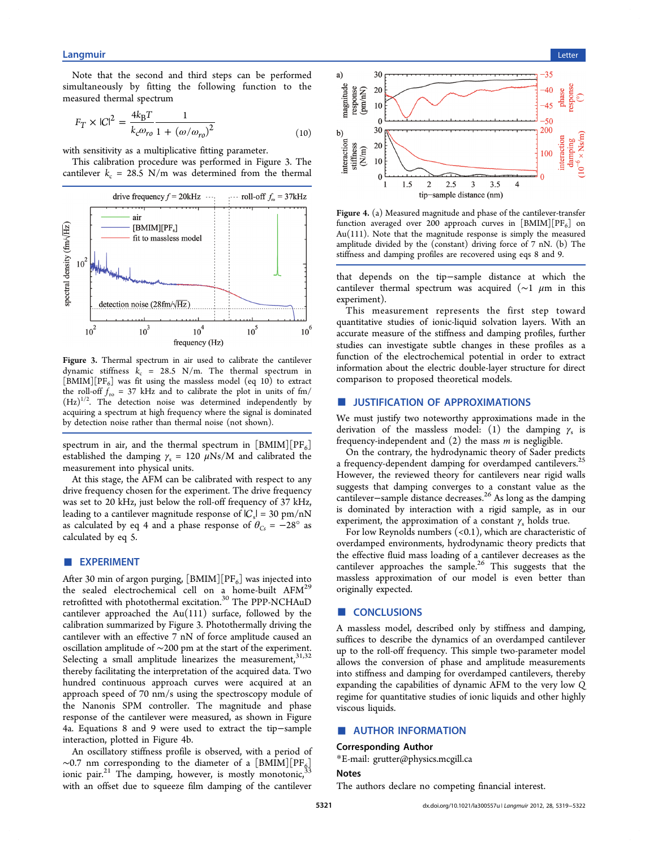<span id="page-2-0"></span>Note that the second and third steps can be performed simultaneously by fitting the following function to the measured thermal spectrum

$$
F_T \times |C|^2 = \frac{4k_B T}{k_c \omega_{ro}} \frac{1}{1 + (\omega/\omega_{ro})^2}
$$
(10)

with sensitivity as a multiplicative fitting parameter.

This calibration procedure was performed in Figure 3. The cantilever  $k_c = 28.5$  N/m was determined from the thermal



Figure 3. Thermal spectrum in air used to calibrate the cantilever dynamic stiffness  $k_c = 28.5 \text{ N/m}$ . The thermal spectrum in  $[BMIM][PF_6]$  was fit using the massless model (eq 10) to extract the roll-off  $f_{\rm ro}$  = 37 kHz and to calibrate the plot in units of fm/  $(Hz)^{1/2}$ . The detection noise was determined independently by acquiring a spectrum at high frequency where the signal is dominated by detection noise rather than thermal noise (not shown).

spectrum in air, and the thermal spectrum in  $\lfloor \text{BMIM} \rfloor \lfloor \text{PF}_6 \rfloor$ established the damping  $\gamma_s = 120 \mu \text{Ns/M}$  and calibrated the measurement into physical units.

At this stage, the AFM can be calibrated with respect to any drive frequency chosen for the experiment. The drive frequency was set to 20 kHz, just below the roll-off frequency of 37 kHz, leading to a cantilever magnitude response of  $|C_s| = 30$  pm/nN as calculated by eq 4 and a phase response of  $\theta_{Cs} = -28^\circ$  as calculated by eq 5.

#### ■ EXPERIME[NT](#page-1-0)

After 30 min of argon purging,  $[BMIM][PF_6]$  was injected into the sealed electrochemical cell on a home-built AFM<sup>29</sup> retrofitted with photothermal excitation. $\rm ^{30}$  The PPP-NCHAuD cantilever approached the Au(111) surface, followed by t[he](#page-3-0) calibration summarized by Figure 3. Pho[to](#page-3-0)thermally driving the cantilever with an effective 7 nN of force amplitude caused an oscillation amplitude of ∼200 pm at the start of the experiment. Selecting a small amplitude linearizes the measurement,  $31,32$ thereby facilitating the interpretation of the acquired data. Two hundred continuous approach curves were acquired a[t an](#page-3-0) approach speed of 70 nm/s using the spectroscopy module of the Nanonis SPM controller. The magnitude and phase response of the cantilever were measured, as shown in Figure 4a. Equations 8 and 9 were used to extract the tip−sample interaction, plotted in Figure 4b.

An oscillato[ry](#page-1-0) stiff[nes](#page-1-0)s profile is observed, with a period of  $~\sim$ 0.7 nm corresponding to the diameter of a [BMIM][PF<sub>6</sub>] ionic pair.<sup>21</sup> The damping, however, is mostly monotonic,<sup>3</sup> with an offset due to squeeze film damping of the cantilever



Figure 4. (a) Measured magnitude and phase of the cantilever-transfer function averaged over 200 approach curves in  $[BMIM][PF_6]$  on Au(111). Note that the magnitude response is simply the measured amplitude divided by the (constant) driving force of 7 nN. (b) The stiffness and damping profiles are recovered using eqs 8 and 9.

that depends on the tip−sample distance a[t](#page-1-0) whi[ch](#page-1-0) the cantilever thermal spectrum was acquired ( $∼1 \mu m$  in this experiment).

This measurement represents the first step toward quantitative studies of ionic-liquid solvation layers. With an accurate measure of the stiffness and damping profiles, further studies can investigate subtle changes in these profiles as a function of the electrochemical potential in order to extract information about the electric double-layer structure for direct comparison to proposed theoretical models.

### **USTIFICATION OF APPROXIMATIONS**

We must justify two noteworthy approximations made in the derivation of the massless model: (1) the damping  $\gamma_s$  is frequency-independent and  $(2)$  the mass *m* is negligible.

On the contrary, the hydrodynamic theory of Sader predicts a frequency-dependent damping for overdamped cantilevers.<sup>25</sup> However, the reviewed theory for cantilevers near rigid walls suggests that damping converges to a constant value as t[he](#page-3-0) cantilever−sample distance decreases.<sup>26</sup> As long as the damping is dominated by interaction with a rigid sample, as in our experiment, the approximation of a [con](#page-3-0)stant  $\gamma_s$  holds true.

For low Reynolds numbers  $(<0.1)$ , which are characteristic of overdamped environments, hydrodynamic theory predicts that the effective fluid mass loading of a cantilever decreases as the cantilever approaches the sample.<sup>26</sup> This suggests that the massless approximation of our model is even better than originally expected.

#### ■ **CONCLUSIONS**

A massless model, described only by stiffness and damping, suffices to describe the dynamics of an overdamped cantilever up to the roll-off frequency. This simple two-parameter model allows the conversion of phase and amplitude measurements into stiffness and damping for overdamped cantilevers, thereby expanding the capabilities of dynamic AFM to the very low Q regime for quantitative studies of ionic liquids and other highly viscous liquids.

#### ■ AUTHOR INFORMATION

#### Corresponding Author

\*E-mail: grutter@physics.mcgill.ca

The auth[ors declare no competing](mailto:grutter@physics.mcgill.ca) financial interest.

**Notes**